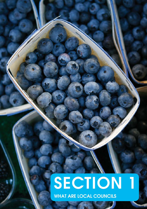## SECTION 1 WHAT ARE LOCAL COUNCILS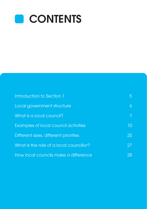

| Introduction to Section 1               | 5  |
|-----------------------------------------|----|
| Local government structure              | 6  |
| What is a local council?                | 7  |
| Examples of local council activities    | 10 |
| Different sizes, different priorities   | 25 |
| What is the role of a local councillor? | 27 |
| How local councils make a difference    | 28 |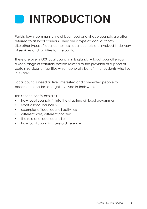# INTRODUCTION

Parish, town, community, neighbourhood and village councils are often referred to as local councils. They are a type of local authority. Like other types of local authorities, local councils are involved in delivery of services and facilities for the public.

There are over 9,000 local councils in England. A local council enjoys a wide range of statutory powers related to the provision or support of certain services or facilities which generally benefit the residents who live in its area.

Local councils need active, interested and committed people to become councillors and get involved in their work.

This section briefly explains:

- how local councils fit into the structure of local government
- what a local council is
- • examples of local council activities
- • different sizes, different priorities
- the role of a local councillor
- • how local councils make a difference.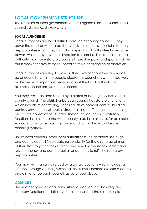## LOCAL GOVERNMENT STRUCTURE

The structure of local government across England is not the same. Local councils do not exist everywhere.

#### LOCAL AUTHORITIES

Local authorities are local district, borough or county councils. They cover the small or wider area that you live in and have certain statutory responsibilities which they must discharge. Local authorities have some powers which they have the discretion to exercise. For example, a local authority may have statutory powers to provide parks and sports facilities but it does not have to do so, because this is at its choice or discretion.

Local authorities are legal bodies in their own right but they are made up of councillors. It is the people elected as councillors who collectively make the most important decisions about the local authority. For example, councillors will set the council tax.

You may live in an area served by a district or borough council and a county council. The district or borough council has statutory functions which include street trading, licensing, development control, building control, environmental health, street parking, traffic regulation, housing and waste collection for its area. The county council has statutory functions in relation to the wider county area in relation to, for example, education, social services, highways and rights of way, and some planning matters.

Unlike local councils, other local authorities (such as district, borough and county councils) delegate responsibility for the discharge of most of their statutory functions to staff. They employ thousands of staff and rely on agency and contractual arrangements to fulfil their statutory responsibilities.

You may live in an area served by a unitary council (which includes a London Borough Council) which has the same functions as both a county and district or borough council, as described above

#### **COUNCILS**

Unlike other types of local authorities, a local council has very few statutory functions or duties. A local council has the discretion to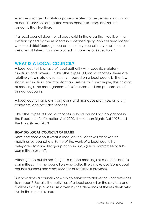exercise a range of statutory powers related to the provision or support of certain services or facilities which benefit its area, and/or the residents that live there.

If a local council does not already exist in the area that you live in, a petition signed by the residents in a defined geographical area lodged with the district/borough council or unitary council may result in one being established. This is explained in more detail in Section 2.

## WHAT IS A LOCAL COUNCIL?

A local council is a type of local authority with specific statutory functions and powers. Unlike other types of local authorities, there are relatively few statutory functions imposed on a local council. The few statutory functions are important and relate to, for example, the holding of meetings, the management of its finances and the preparation of annual accounts.

A local council employs staff, owns and manages premises, enters in contracts, and provides services.

Like other types of local authorities, a local council has obligations in the Freedom of Information Act 2000, the Human Rights Act 1998 and the Equality Act 2010.

#### HOW DO LOCAL COUNCILS OPERATE?

Most decisions about what a local council does will be taken at meetings by councillors. Some of the work of a local council is delegated to a smaller group of councillors (i.e. a committee or subcommittee) or staff.

Although the public has a right to attend meetings of a council and its committees, it is the councillors who collectively make decisions about council business and what services or facilities it provides.

But how does a council know which services to deliver or what activities to support? Usually the activities of a local council or the services and facilities that it provides are driven by the demands of the residents who live in the council's area.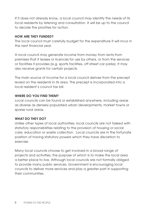If it does not already know, a local council may identify the needs of its local residents by listening and consultation. It will be up to the council to decide the priorities for action.

#### HOW ARE THEY FUNDED?

The local council must carefully budget for the expenditure it will incur in the next financial year.

A local council may generate income from money from rents from premises that it leases or licences for use by others, or from the services or facilities it provides (e.g. sports facilities, off street car parks). It may also receive grants for certain projects.

The main source of income for a local council derives from the precept levied on the residents in its area. The precept is incorporated into a local resident's council tax bill.

#### WHERE DO YOU FIND THEM?

Local councils can be found or established anywhere, including areas as diverse as densely populated urban developments, market towns or sparse rural areas.

#### WHAT DO THEY DO?

Unlike other types of local authorities, local councils are not tasked with statutory responsibilities relating to the provision of housing or social care, education or waste collection. Local councils are in the fortunate position of having statutory powers which they have discretion to exercise.

Many local councils choose to get involved in a broad range of projects and activities, the purpose of which is to make the local area a better place to live. Although local councils are not formally obliged to provide many public services, Government is encouraging local councils to deliver more services and play a greater part in supporting their communities.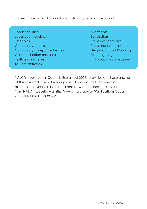For example, a local council has statutory powers in relation to:

- Sports facilities Allotments Local youth projects Bus shelters Litter bins **Community Community Community** Community Community Community Community Community Community Community **Community centres Community Centres Parks and open spaces** Community transport schemes Neighbourhood Planning Crime reduction measures Street lighting Festivals and fetes Traffic calming measures Tourism activities
- 

NALC's book 'Local Councils Explained 2013' provides a full explanation of the role and internal workings of a local council. Information about Local Councils Explained and how to purchase it is available from NALC's website via http://www.nalc.gov.uk/Publications/Local\_ Councils\_Explained.aspx3.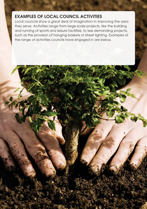## EXAMPLES OF LOCAL COUNCIL ACTIVITIES

10 POWER TO THE PEOPLE

Local councils show a great deal of imagination in improving the area they serve. Activities range from large scale projects, like the building and running of sports and leisure facilities, to less demanding projects, such as the provision of hanging baskets or street lighting. Examples of the range of activities councils have engaged in are below.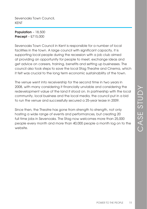Sevenoaks Town Council, KENT

Population – 18,500 Precept – £715,000

Sevenoaks Town Council in Kent is responsible for a number of local facilities in the town. A large council with significant capacity, it is supporting local people during the recession with a job club aimed at providing an opportunity for people to meet, exchange ideas and get advice on careers, training, benefits and setting up businesses. The council also took steps to save the local Stag Theatre and Cinema, which it felt was crucial to the long term economic sustainability of the town.

The venue went into receivership for the second time in two years in 2008, with many considering it financially unviable and considering the redevelopment value of the land it stood on. In partnership with the local community, local business and the local media, the council put in a bid to run the venue and successfully secured a 25-year lease in 2009.

Since then, the Theatre has gone from strength to strength, not only hosting a wide range of events and performances, but creating 20 full time jobs in Sevenoaks. The Stag now welcomes more than 25,000 people every month and more than 40,000 people a month log on to the website.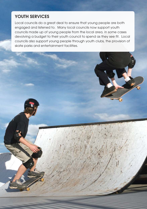## YOUTH SERVICES

Local councils do a great deal to ensure that young people are both engaged and listened to. Many local councils now support youth councils made up of young people from the local area, in some cases devolving a budget to their youth council to spend as they see fit. Local councils also support young people through youth clubs, the provision of skate parks and entertainment facilities.

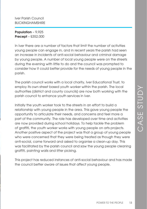Iver Parish Council BUCKINGHAMSHIRE

Population – 9,925 Precept – £352,000

In Iver there are a number of factors that limit the number of activities young people can engage in, and in recent years the parish had seen an increase in incidents of anti-social behaviour and criminal damage by young people. A number of local young people were on the streets during the evening with little to do and the council was prompted to consider how it could better provide for the needs of young people in the parish.

The parish council works with a local charity, Iver Educational Trust, to employ its own street based youth worker within the parish. The local authorities (district and county councils) are now both working with the parish council to enhance youth services in Iver.

Initially the youth worker took to the streets in an effort to build a relationship with young people in the area. This gave young people the opportunity to articulate their needs, and concerns and feel more a part of the community. The role has developed over time and activities are now provided during school holidays. To help tackle the problem of graffiti, the youth worker works with young people on arts projects. Another positive aspect of the project was that a group of young people who were concerned that they were being treated as though they were anti-social, came forward and asked to organise a clean-up day. This was facilitated by the parish council and saw the young people cleaning graffiti, painting walls and litter picking.

This project has reduced instances of anti-social behaviour and has made the council better aware of issues that affect young people.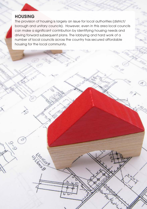## **HOUSING**

 $\circ$ 

**SSLONDAD** 

The provision of housing is largely an issue for local authorities (district/ borough and unitary councils). However, even in this area local councils can make a significant contribution by identifying housing needs and driving forward subsequent plans. The lobbying and hard work of a number of local councils across the country has secured affordable housing for the local community.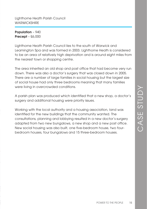Lighthorne Heath Parish Council **WARWICKSHIRE** 

Population – 940 Precept – £6,000

Lighthorne Heath Parish Council lies to the south of Warwick and Leamington Spa and was formed in 2003. Lighthorne Heath is considered to be an area of relatively high deprivation and is around eight miles from the nearest town or shopping centre.

The area inherited an old shop and post office that had become very run down. There was also a doctor's surgery that was closed down in 2005. There are a number of large families in social housing but the largest size of social house had only three bedrooms meaning that many families were living in overcrowded conditions.

A parish plan was produced which identified that a new shop, a doctor's surgery and additional housing were priority issues.

Working with the local authority and a housing association, land was identified for the new buildings that the community wanted. The consultations, planning and lobbying resulted in a new doctor's surgery adapted from two new bungalows, a new shop and a new post office. New social housing was also built, one five-bedroom house, two fourbedroom houses, four bungalows and 15 three-bedroom houses.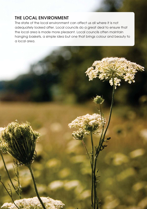## THE LOCAL ENVIRONMENT

16 POWER TO THE PEOPLE

The state of the local environment can affect us all where it is not adequately looked after. Local councils do a great deal to ensure that the local area is made more pleasant. Local councils often maintain hanging baskets, a simple idea but one that brings colour and beauty to a local area.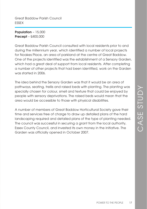Great Baddow Parish Council ESSEX

Population – 15,000 Precept – £400,000

Great Baddow Parish Council consulted with local residents prior to and during the millennium year, which identified a number of local projects for Noakes Place, an area of parkland at the centre of Great Baddow. One of the projects identified was the establishment of a Sensory Garden, which had a great deal of support from local residents. After completing a number of other projects that had been identified, work on the Garden was started in 2006.

The idea behind the Sensory Garden was that it would be an area of pathways, seating, trellis and raised beds with planting. The planting was specially chosen for colour, smell and texture that could be enjoyed by people with sensory deprivations. The raised beds would mean that the area would be accessible to those with physical disabilities.

A number of members of Great Baddow Horticultural Society gave their time and services free of charge to draw up detailed plans of the hard landscaping required and detailed plans of the type of planting needed. The council was successful in securing a grant from the local authority, Essex County Council, and invested its own money in the initiative. The Garden was officially opened in October 2007.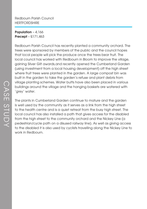Redbourn Parish Council **HERTFORDSHIRE** 

Population – 4,166 Precept – £171,463

Redbourn Parish Council has recently planted a community orchard. The trees were sponsored by members of the public and the council hopes that local people will pick the produce once the trees bear fruit. The local council has worked with Redbourn in Bloom to improve the village, gaining Silver Gilt awards,and recently opened the Cumberland Garden (using investment from a local housing development) off the high street where fruit trees were planted in the garden. A large compost bin was built in the garden to take the garden's refuse and plant debris from village planting schemes. Water butts have also been placed in various buildings around the village and the hanging baskets are watered with 'grey' water.

The plants in Cumberland Garden continue to mature and the garden is well used by the community as it serves as a link from the high street to the health centre and is a quiet retreat from the busy high street. The local council has also installed a path that gives access for the disabled from the high street to the community orchard and the Nickey Line (a pedestrian/cycle path on a disused railway line). As well as giving access to the disabled it is also used by cyclists travelling along the Nickey Line to work in Redbourn.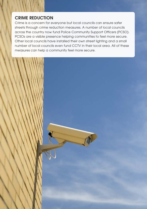## CRIME REDUCTION

Crime is a concern for everyone but local councils can ensure safer streets through crime reduction measures. A number of local councils across the country now fund Police Community Support Officers (PCSO). PCSOs are a visible presence helping communities to feel more secure. Other local councils have installed their own street lighting and a small number of local councils even fund CCTV in their local area. All of these measures can help a community feel more secure.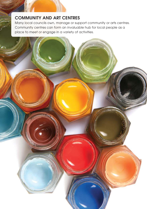## COMMUNITY AND ART CENTRES

Many local councils own, manage or support community or arts centres. Community centres can form an invaluable hub for local people as a place to meet or engage in a variety of activities.

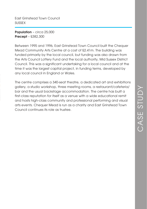East Grinstead Town Council **SUSSEX** 

Population - circa 25,000 Precept – £382,300

Between 1995 and 1996, East Grinstead Town Council built the Chequer Mead Community Arts Centre at a cost of £2.41m. The building was funded primarily by the local council, but funding was also drawn from the Arts Council Lottery Fund and the local authority, Mid Sussex District Council. This was a significant undertaking for a local council and at the time it was the largest capital project, in funding terms, developed by any local council in England or Wales.

The centre comprises a 340-seat theatre, a dedicated art and exhibitions gallery, a studio workshop, three meeting rooms, a restaurant/cafeteria/ bar and the usual backstage accommodation. The centre has built a first-class reputation for itself as a venue with a wide educational remit and hosts high-class community and professional performing and visual arts events. Chequer Mead is run as a charity and East Grinstead Town Council continues its role as trustee.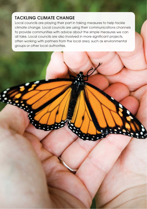## TACKLING CLIMATE CHANGE

Local councils are playing their part in taking measures to help tackle climate change. Local councils are using their communications channels to provide communities with advice about the simple measures we can all take. Local councils are also involved in more significant projects, often working with partners from the local area, such as environmental groups or other local authorities.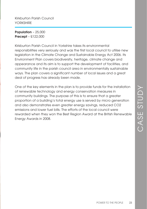Kirkburton Parish Council YORKSHIRE

Population – 25,000 Precept – £122,000

Kirkburton Parish Council in Yorkshire takes its environmental responsibilities very seriously and was the first local council to utilise new legislation in the Climate Change and Sustainable Energy Act 2006. Its Environment Plan covers biodiversity, heritage, climate change and appearance and its aim is to support the development of facilities, and community life in the parish council area in environmentally sustainable ways. The plan covers a significant number of local issues and a great deal of progress has already been made.

One of the key elements in the plan is to provide funds for the installation of renewable technology and energy conservation measures in community buildings. The purpose of this is to ensure that a greater proportion of a building's total energy use is served by micro generation and also demonstrates even greater energy savings, reduced CO2 emissions and lower fuel bills. The efforts of the local council were rewarded when they won the Best Region Award at the British Renewable Energy Awards in 2008.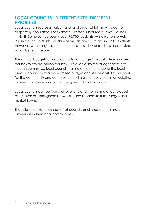#### LOCAL COUNCILS –DIFFERENT SIZES, DIFFERENT **PRIORITIES**

Local councils represent urban and rural areas which may be densely or sparsely populated. For example, Weston-super-Mare Town Council in North Somerset represents over 70,000 residents, while Hutton-le-Hole Parish Council in North Yorkshire serves an area with around 200 residents. However, what they have in common is they deliver facilities and services which benefit the area.

The annual budgets of local councils can range from just a few hundred pounds to several million pounds. But even a limited budget does not stop an committed local council making a big difference to the local area. A council with a more limited budget can still be a vital focal point for the community and can provide it with a stronger voice in articulating its needs to partners such as other types of local authority.

Local councils can be found all over England, from some of our biggest cities, such as Birmingham Newcastle and London, to rural villages and market towns.

The following examples show that councils of all sizes are making a difference in their local communities.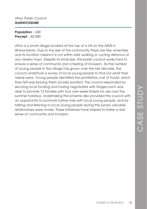#### Ufton Parish Council **WARWICKSHIRE**

Population – 240 Precept – £5,000

Ufton is a small village located at the top of a hill on the A425 in Warwickshire. Due to the size of the community there are few amenities and its location means it is not within safe walking or cycling distance of any nearby town. Despite its small size, the parish council works hard to ensure a sense of community and a feeling of inclusion. As the number of young people in the village has grown over the last decade, the council undertook a survey of local young people to find out what their needs were. Young people identified the prohibitive cost of travel, which they felt was leaving them socially isolated. The council responded by securing local funding and having negotiated with Stagecoach was able to provide 13 families with four one-week tickets for use over the summer holidays. Undertaking this scheme also provided the council with an opportunity to promote further links with local young people, and by talking and listening to local young people during the survey valuable relationships were made. These initiatives have helped to foster a real sense of community and inclusion.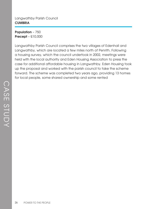#### Langwathby Parish Council **CUMBRIA**

Population - 750 Precept – £10,000

Langwathby Parish Council comprises the two villages of Edenhall and Langwathby, which are located a few miles north of Penrith. Following a housing survey, which the council undertook in 2002, meetings were held with the local authority and Eden Housing Association to press the case for additional affordable housing in Langwathby. Eden Housing took up the proposal and worked with the parish council to take the scheme forward. The scheme was completed two years ago, providing 13 homes for local people, some shared ownership and some rented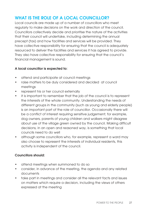## WHAT IS THE ROLE OF A LOCAL COUNCILLOR?

Local councils are made up of a number of councillors who meet regularly to make decisions on the work and direction of the council. Councillors collectively decide and prioritise the nature of the activities that their council will undertake, including determining the annual precept (tax) and how facilities and services will be provided. They have collective responsibility for ensuring that the council is adequately resourced to deliver the facilities and services it has agreed to provide. They also have collective responsibility for ensuring that the council's financial management is sound.

#### A local councillor is expected to:

- • attend and participate at council meetings
- • raise matters to be duly considered and decided at council meetings
- represent his or her council externally
- it is important to remember that the job of the council is to represent the interests of the whole community. Understanding the needs of different groups in the community (such as young and elderly people) is an important part of the role of councillor. Occasionally there will be a conflict of interest requiring sensitive judgement; for example, dog owners, parents of young children and walkers might disagree about use of the village green owned by the council. Making difficult decisions, in an open and reasoned way, is something that local councils need to do well
- although some councillors who, for example, represent a ward may also choose to represent the interests of individual residents, this activity is independent of the council.

#### Councillors should:

- attend meetings when summoned to do so
- • consider, in advance of the meeting, the agenda and any related documents
- take part in meetings and consider all the relevant facts and issues on matters which require a decision, including the views of others expressed at the meeting